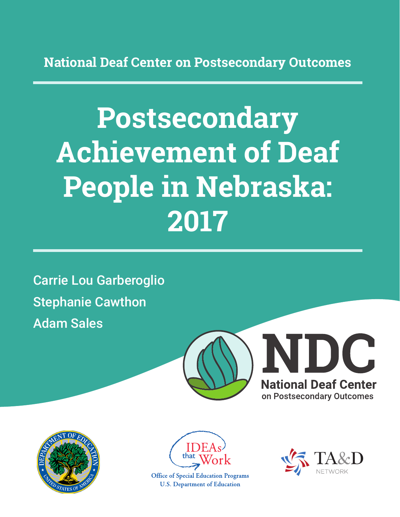**National Deaf Center on Postsecondary Outcomes**

# **Postsecondary Achievement of Deaf People in Nebraska: 2017**

Carrie Lou Garberoglio Stephanie Cawthon Adam Sales







**Office of Special Education Programs U.S. Department of Education** 

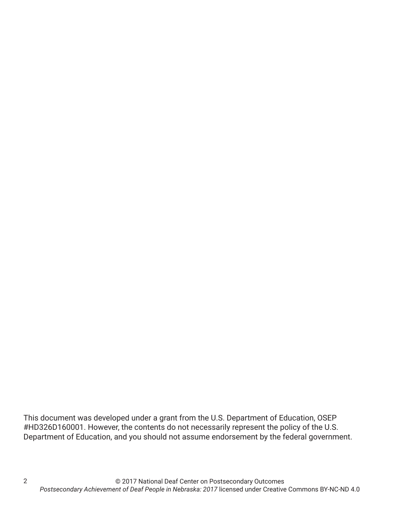This document was developed under a grant from the U.S. Department of Education, OSEP #HD326D160001. However, the contents do not necessarily represent the policy of the U.S. Department of Education, and you should not assume endorsement by the federal government.

2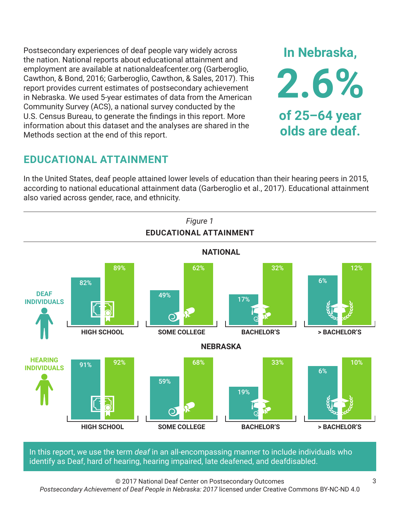Postsecondary experiences of deaf people vary widely across the nation. National reports about educational attainment and employment are available at nationaldeafcenter.org (Garberoglio, Cawthon, & Bond, 2016; Garberoglio, Cawthon, & Sales, 2017). This report provides current estimates of postsecondary achievement in Nebraska. We used 5-year estimates of data from the American Community Survey (ACS), a national survey conducted by the U.S. Census Bureau, to generate the findings in this report. More information about this dataset and the analyses are shared in the Methods section at the end of this report.

# **EDUCATIONAL ATTAINMENT**

In the United States, deaf people attained lower levels of education than their hearing peers in 2015, according to national educational attainment data (Garberoglio et al., 2017). Educational attainment also varied across gender, race, and ethnicity.



In this report, we use the term *deaf* in an all-encompassing manner to include individuals who identify as Deaf, hard of hearing, hearing impaired, late deafened, and deafdisabled.

© 2017 National Deaf Center on Postsecondary Outcomes

*Postsecondary Achievement of Deaf People in Nebraska: 2017* licensed under Creative Commons BY-NC-ND 4.0

**In Nebraska,**

**2.6%**

**of 25–64 year**

**olds are deaf.**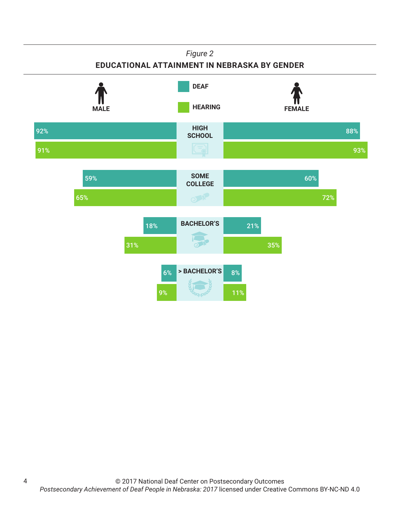## *Figure 2*

## **EDUCATIONAL ATTAINMENT IN NEBRASKA BY GENDER**



4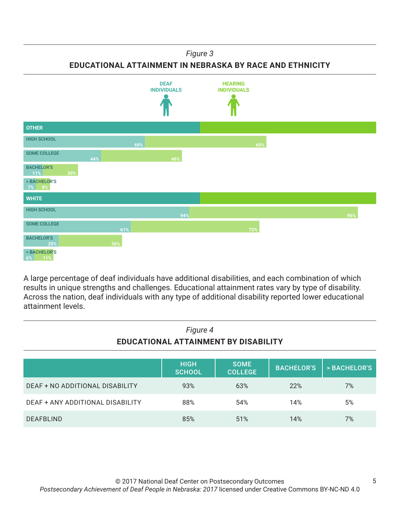## *Figure 3*

**EDUCATIONAL ATTAINMENT IN NEBRASKA BY RACE AND ETHNICITY**



A large percentage of deaf individuals have additional disabilities, and each combination of which results in unique strengths and challenges. Educational attainment rates vary by type of disability. Across the nation, deaf individuals with any type of additional disability reported lower educational attainment levels.

| Figure 4<br>EDUCATIONAL ATTAINMENT BY DISABILITY |                              |                               |                   |              |
|--------------------------------------------------|------------------------------|-------------------------------|-------------------|--------------|
|                                                  | <b>HIGH</b><br><b>SCHOOL</b> | <b>SOME</b><br><b>COLLEGE</b> | <b>BACHELOR'S</b> | > BACHELOR'S |
| DEAF + NO ADDITIONAL DISABILITY                  | 93%                          | 63%                           | 22%               | 7%           |
| DEAF + ANY ADDITIONAL DISABILITY                 | 88%                          | 54%                           | 14%               | 5%           |
| <b>DEAFBLIND</b>                                 | 85%                          | 51%                           | 14%               | 7%           |

5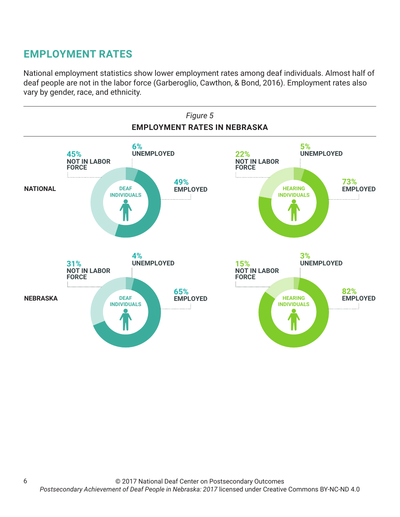# **EMPLOYMENT RATES**

National employment statistics show lower employment rates among deaf individuals. Almost half of deaf people are not in the labor force (Garberoglio, Cawthon, & Bond, 2016). Employment rates also vary by gender, race, and ethnicity.

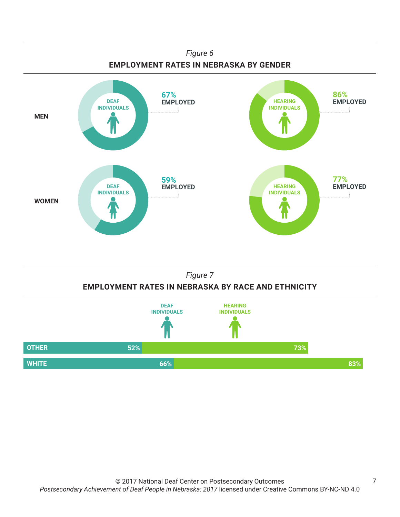



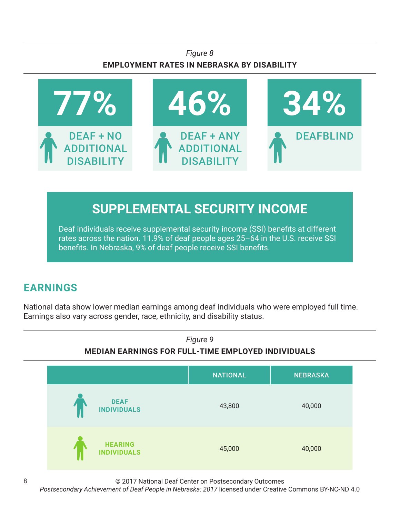## *Figure 8* **EMPLOYMENT RATES IN NEBRASKA BY DISABILITY**



# **SUPPLEMENTAL SECURITY INCOME**

Deaf individuals receive supplemental security income (SSI) benefits at different rates across the nation. 11.9% of deaf people ages 25–64 in the U.S. receive SSI benefits. In Nebraska, 9% of deaf people receive SSI benefits.

# **EARNINGS**

National data show lower median earnings among deaf individuals who were employed full time. Earnings also vary across gender, race, ethnicity, and disability status.



© 2017 National Deaf Center on Postsecondary Outcomes

*Postsecondary Achievement of Deaf People in Nebraska: 2017* licensed under Creative Commons BY-NC-ND 4.0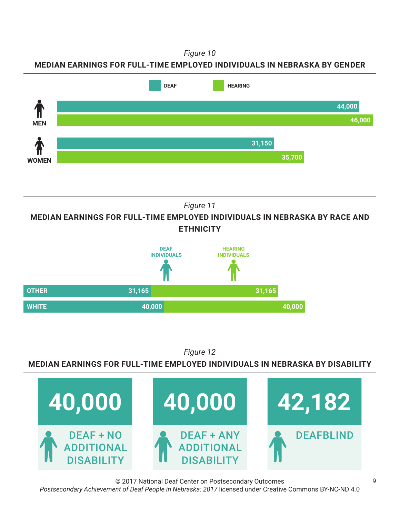*Figure 10*

**MEDIAN EARNINGS FOR FULL-TIME EMPLOYED INDIVIDUALS IN NEBRASKA BY GENDER**



*Figure 11*

**MEDIAN EARNINGS FOR FULL-TIME EMPLOYED INDIVIDUALS IN NEBRASKA BY RACE AND ETHNICITY**



*Figure 12*

**MEDIAN EARNINGS FOR FULL-TIME EMPLOYED INDIVIDUALS IN NEBRASKA BY DISABILITY**



© 2017 National Deaf Center on Postsecondary Outcomes *Postsecondary Achievement of Deaf People in Nebraska: 2017* licensed under Creative Commons BY-NC-ND 4.0